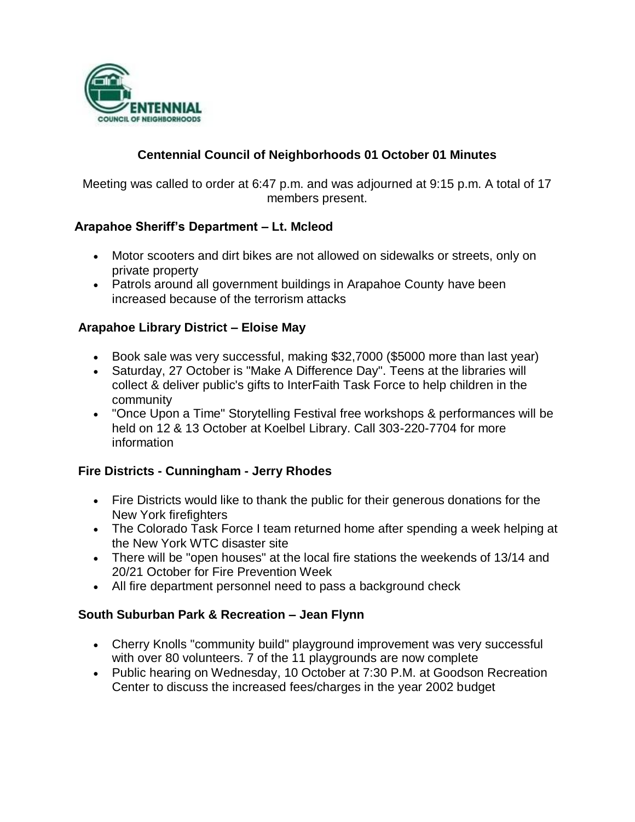

### **Centennial Council of Neighborhoods 01 October 01 Minutes**

Meeting was called to order at 6:47 p.m. and was adjourned at 9:15 p.m. A total of 17 members present.

### **Arapahoe Sheriff's Department – Lt. Mcleod**

- Motor scooters and dirt bikes are not allowed on sidewalks or streets, only on private property
- Patrols around all government buildings in Arapahoe County have been increased because of the terrorism attacks

#### **Arapahoe Library District – Eloise May**

- Book sale was very successful, making \$32,7000 (\$5000 more than last year)
- Saturday, 27 October is "Make A Difference Day". Teens at the libraries will collect & deliver public's gifts to InterFaith Task Force to help children in the community
- "Once Upon a Time" Storytelling Festival free workshops & performances will be held on 12 & 13 October at Koelbel Library. Call 303-220-7704 for more information

### **Fire Districts - Cunningham - Jerry Rhodes**

- Fire Districts would like to thank the public for their generous donations for the New York firefighters
- The Colorado Task Force I team returned home after spending a week helping at the New York WTC disaster site
- There will be "open houses" at the local fire stations the weekends of 13/14 and 20/21 October for Fire Prevention Week
- All fire department personnel need to pass a background check

### **South Suburban Park & Recreation – Jean Flynn**

- Cherry Knolls "community build" playground improvement was very successful with over 80 volunteers. 7 of the 11 playgrounds are now complete
- Public hearing on Wednesday, 10 October at 7:30 P.M. at Goodson Recreation Center to discuss the increased fees/charges in the year 2002 budget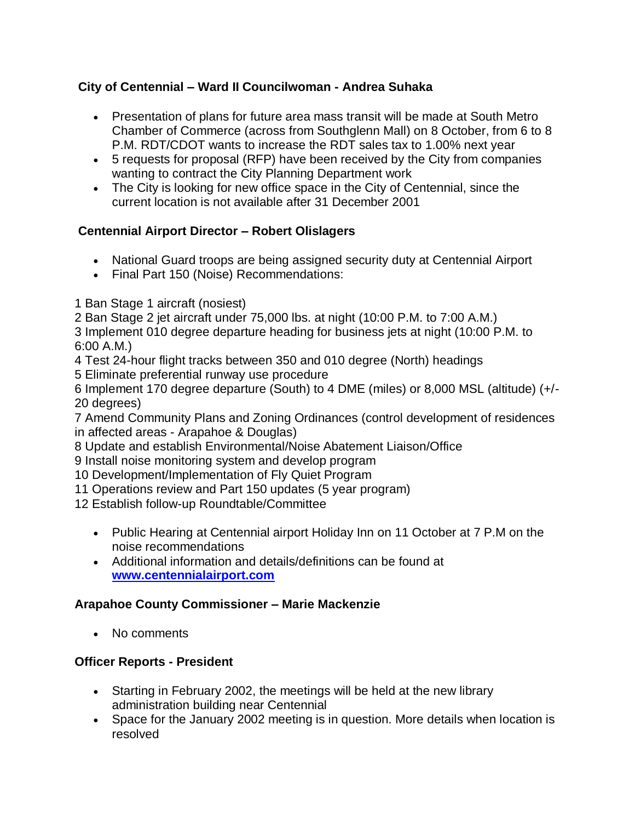### **City of Centennial – Ward II Councilwoman - Andrea Suhaka**

- Presentation of plans for future area mass transit will be made at South Metro Chamber of Commerce (across from Southglenn Mall) on 8 October, from 6 to 8 P.M. RDT/CDOT wants to increase the RDT sales tax to 1.00% next year
- 5 requests for proposal (RFP) have been received by the City from companies wanting to contract the City Planning Department work
- The City is looking for new office space in the City of Centennial, since the current location is not available after 31 December 2001

# **Centennial Airport Director – Robert Olislagers**

- National Guard troops are being assigned security duty at Centennial Airport
- Final Part 150 (Noise) Recommendations:
- 1 Ban Stage 1 aircraft (nosiest)
- 2 Ban Stage 2 jet aircraft under 75,000 lbs. at night (10:00 P.M. to 7:00 A.M.)

3 Implement 010 degree departure heading for business jets at night (10:00 P.M. to 6:00 A.M.)

- 4 Test 24-hour flight tracks between 350 and 010 degree (North) headings
- 5 Eliminate preferential runway use procedure

6 Implement 170 degree departure (South) to 4 DME (miles) or 8,000 MSL (altitude) (+/- 20 degrees)

7 Amend Community Plans and Zoning Ordinances (control development of residences in affected areas - Arapahoe & Douglas)

8 Update and establish Environmental/Noise Abatement Liaison/Office

9 Install noise monitoring system and develop program

10 Development/Implementation of Fly Quiet Program

11 Operations review and Part 150 updates (5 year program)

12 Establish follow-up Roundtable/Committee

- Public Hearing at Centennial airport Holiday Inn on 11 October at 7 P.M on the noise recommendations
- Additional information and details/definitions can be found at **www.centennialairport.com**

### **Arapahoe County Commissioner – Marie Mackenzie**

• No comments

# **Officer Reports - President**

- Starting in February 2002, the meetings will be held at the new library administration building near Centennial
- Space for the January 2002 meeting is in question. More details when location is resolved